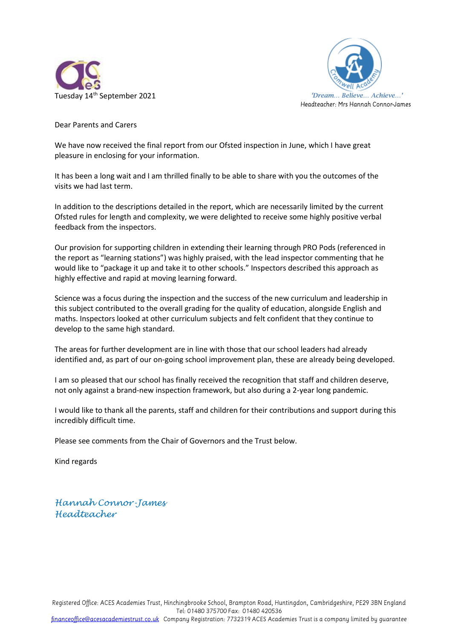



Dear Parents and Carers

We have now received the final report from our Ofsted inspection in June, which I have great pleasure in enclosing for your information.

It has been a long wait and I am thrilled finally to be able to share with you the outcomes of the visits we had last term.

In addition to the descriptions detailed in the report, which are necessarily limited by the current Ofsted rules for length and complexity, we were delighted to receive some highly positive verbal feedback from the inspectors.

Our provision for supporting children in extending their learning through PRO Pods (referenced in the report as "learning stations") was highly praised, with the lead inspector commenting that he would like to "package it up and take it to other schools." Inspectors described this approach as highly effective and rapid at moving learning forward.

Science was a focus during the inspection and the success of the new curriculum and leadership in this subject contributed to the overall grading for the quality of education, alongside English and maths. Inspectors looked at other curriculum subjects and felt confident that they continue to develop to the same high standard.

The areas for further development are in line with those that our school leaders had already identified and, as part of our on-going school improvement plan, these are already being developed.

I am so pleased that our school has finally received the recognition that staff and children deserve, not only against a brand-new inspection framework, but also during a 2-year long pandemic.

I would like to thank all the parents, staff and children for their contributions and support during this incredibly difficult time.

Please see comments from the Chair of Governors and the Trust below.

Kind regards

*Hannah Connor-James Headteacher*